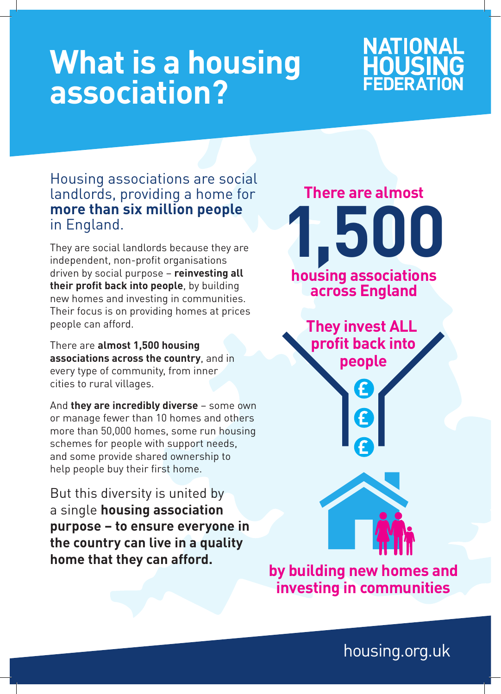# **What is a housing association?**

### NATIONAL **HOUSING**

#### Housing associations are social landlords, providing a home for **more than six million people** in England.

They are social landlords because they are independent, non-profit organisations driven by social purpose – **reinvesting all their profit back into people**, by building new homes and investing in communities. Their focus is on providing homes at prices people can afford.

There are **almost 1,500 housing associations across the country**, and in every type of community, from inner cities to rural villages.

And **they are incredibly diverse** – some own or manage fewer than 10 homes and others more than 50,000 homes, some run housing schemes for people with support needs, and some provide shared ownership to help people buy their first home.

But this diversity is united by a single **housing association purpose – to ensure everyone in the country can live in a quality home that they can afford.**

**There are almost 1,500 housing associations across England They invest ALL profit back into people**  $\boldsymbol{\epsilon}$ **by building new homes and**

housing.org.uk

**investing in communities**